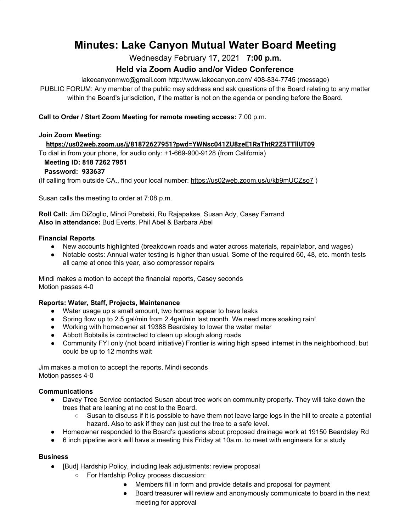# **Minutes: Lake Canyon Mutual Water Board Meeting**

Wednesday February 17, 2021 **7:00 p.m.**

# **Held via Zoom Audio and/or Video Conference**

lakecanyonmwc@gmail.com http://www.lakecanyon.com/ 408-834-7745 (message)

PUBLIC FORUM: Any member of the public may address and ask questions of the Board relating to any matter within the Board's jurisdiction, if the matter is not on the agenda or pending before the Board.

## **Call to Order / Start Zoom Meeting for remote meeting access:** 7:00 p.m.

#### **Join Zoom Meeting:**

### **<https://us02web.zoom.us/j/81872627951?pwd=YWNsc041ZU8zeE1RaThtR2Z5TTllUT09>**

To dial in from your phone, for audio only: +1-669-900-9128 (from California)

#### **Meeting ID: 818 7262 7951**

### **Password: 933637**

(If calling from outside CA., find your local number[:](https://us02web.zoom.us/u/kb9mUCZso7) <https://us02web.zoom.us/u/kb9mUCZso7> )

Susan calls the meeting to order at 7:08 p.m.

**Roll Call:** Jim DiZoglio, Mindi Porebski, Ru Rajapakse, Susan Ady, Casey Farrand **Also in attendance:** Bud Everts, Phil Abel & Barbara Abel

#### **Financial Reports**

- New accounts highlighted (breakdown roads and water across materials, repair/labor, and wages)
- Notable costs: Annual water testing is higher than usual. Some of the required 60, 48, etc. month tests all came at once this year, also compressor repairs

Mindi makes a motion to accept the financial reports, Casey seconds Motion passes 4-0

### **Reports: Water, Staff, Projects, Maintenance**

- Water usage up a small amount, two homes appear to have leaks
- Spring flow up to 2.5 gal/min from 2.4gal/min last month. We need more soaking rain!
- Working with homeowner at 19388 Beardsley to lower the water meter
- Abbott Bobtails is contracted to clean up slough along roads
- Community FYI only (not board initiative) Frontier is wiring high speed internet in the neighborhood, but could be up to 12 months wait

Jim makes a motion to accept the reports, Mindi seconds Motion passes 4-0

### **Communications**

- Davey Tree Service contacted Susan about tree work on community property. They will take down the trees that are leaning at no cost to the Board.
	- Susan to discuss if it is possible to have them not leave large logs in the hill to create a potential hazard. Also to ask if they can just cut the tree to a safe level.
- Homeowner responded to the Board's questions about proposed drainage work at 19150 Beardsley Rd
- 6 inch pipeline work will have a meeting this Friday at 10a.m. to meet with engineers for a study

#### **Business**

- [Bud] Hardship Policy, including leak adjustments: review proposal
	- For Hardship Policy process discussion:
		- Members fill in form and provide details and proposal for payment
		- Board treasurer will review and anonymously communicate to board in the next meeting for approval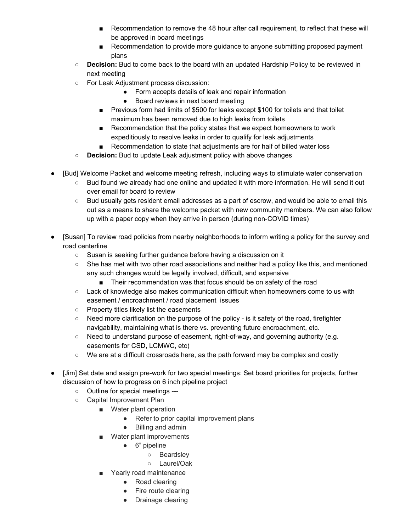- Recommendation to remove the 48 hour after call requirement, to reflect that these will be approved in board meetings
- Recommendation to provide more guidance to anyone submitting proposed payment plans
- **Decision:** Bud to come back to the board with an updated Hardship Policy to be reviewed in next meeting
- For Leak Adjustment process discussion:
	- Form accepts details of leak and repair information
	- Board reviews in next board meeting
	- Previous form had limits of \$500 for leaks except \$100 for toilets and that toilet maximum has been removed due to high leaks from toilets
	- Recommendation that the policy states that we expect homeowners to work expeditiously to resolve leaks in order to qualify for leak adjustments
	- Recommendation to state that adjustments are for half of billed water loss
- **Decision:** Bud to update Leak adjustment policy with above changes
- [Bud] Welcome Packet and welcome meeting refresh, including ways to stimulate water conservation
	- Bud found we already had one online and updated it with more information. He will send it out over email for board to review
	- Bud usually gets resident email addresses as a part of escrow, and would be able to email this out as a means to share the welcome packet with new community members. We can also follow up with a paper copy when they arrive in person (during non-COVID times)
- [Susan] To review road policies from nearby neighborhoods to inform writing a policy for the survey and road centerline
	- Susan is seeking further guidance before having a discussion on it
	- She has met with two other road associations and neither had a policy like this, and mentioned any such changes would be legally involved, difficult, and expensive
		- Their recommendation was that focus should be on safety of the road
	- Lack of knowledge also makes communication difficult when homeowners come to us with easement / encroachment / road placement issues
	- Property titles likely list the easements
	- Need more clarification on the purpose of the policy is it safety of the road, firefighter navigability, maintaining what is there vs. preventing future encroachment, etc.
	- Need to understand purpose of easement, right-of-way, and governing authority (e.g. easements for CSD, LCMWC, etc)
	- We are at a difficult crossroads here, as the path forward may be complex and costly
- [Jim] Set date and assign pre-work for two special meetings: Set board priorities for projects, further discussion of how to progress on 6 inch pipeline project
	- Outline for special meetings ---
	- Capital Improvement Plan
		- Water plant operation
			- Refer to prior capital improvement plans
			- Billing and admin
			- Water plant improvements
				- 6" pipeline
					- Beardsley
					- Laurel/Oak
			- Yearly road maintenance
				- Road clearing
				- Fire route clearing
				- Drainage clearing